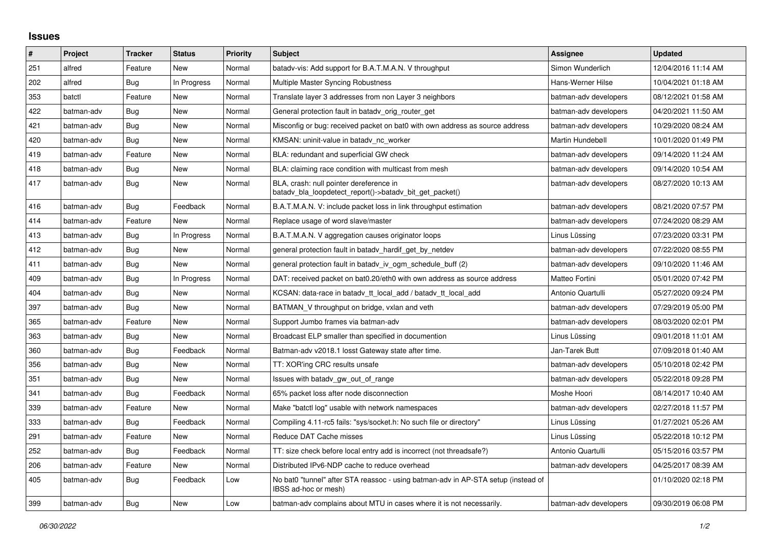## **Issues**

| $\vert$ # | Project    | <b>Tracker</b> | <b>Status</b> | <b>Priority</b> | <b>Subject</b>                                                                                            | <b>Assignee</b>       | <b>Updated</b>      |
|-----------|------------|----------------|---------------|-----------------|-----------------------------------------------------------------------------------------------------------|-----------------------|---------------------|
| 251       | alfred     | Feature        | <b>New</b>    | Normal          | batadv-vis: Add support for B.A.T.M.A.N. V throughput                                                     | Simon Wunderlich      | 12/04/2016 11:14 AM |
| 202       | alfred     | Bug            | In Progress   | Normal          | Multiple Master Syncing Robustness                                                                        | Hans-Werner Hilse     | 10/04/2021 01:18 AM |
| 353       | batctl     | Feature        | <b>New</b>    | Normal          | Translate layer 3 addresses from non Layer 3 neighbors                                                    | batman-adv developers | 08/12/2021 01:58 AM |
| 422       | batman-adv | <b>Bug</b>     | <b>New</b>    | Normal          | General protection fault in batady orig router get                                                        | batman-adv developers | 04/20/2021 11:50 AM |
| 421       | batman-adv | Bug            | <b>New</b>    | Normal          | Misconfig or bug: received packet on bat0 with own address as source address                              | batman-adv developers | 10/29/2020 08:24 AM |
| 420       | batman-adv | Bug            | New           | Normal          | KMSAN: uninit-value in batady_nc_worker                                                                   | Martin Hundebøll      | 10/01/2020 01:49 PM |
| 419       | batman-adv | Feature        | New           | Normal          | BLA: redundant and superficial GW check                                                                   | batman-adv developers | 09/14/2020 11:24 AM |
| 418       | batman-adv | Bug            | New           | Normal          | BLA: claiming race condition with multicast from mesh                                                     | batman-adv developers | 09/14/2020 10:54 AM |
| 417       | batman-adv | <b>Bug</b>     | New           | Normal          | BLA, crash: null pointer dereference in<br>batady_bla_loopdetect_report()->batady_bit_get_packet()        | batman-adv developers | 08/27/2020 10:13 AM |
| 416       | batman-adv | Bug            | Feedback      | Normal          | B.A.T.M.A.N. V: include packet loss in link throughput estimation                                         | batman-adv developers | 08/21/2020 07:57 PM |
| 414       | batman-adv | Feature        | New           | Normal          | Replace usage of word slave/master                                                                        | batman-adv developers | 07/24/2020 08:29 AM |
| 413       | batman-adv | Bug            | In Progress   | Normal          | B.A.T.M.A.N. V aggregation causes originator loops                                                        | Linus Lüssing         | 07/23/2020 03:31 PM |
| 412       | batman-adv | Bug            | <b>New</b>    | Normal          | general protection fault in batadv_hardif_get_by_netdev                                                   | batman-adv developers | 07/22/2020 08:55 PM |
| 411       | batman-adv | Bug            | <b>New</b>    | Normal          | general protection fault in batady iv ogm schedule buff (2)                                               | batman-adv developers | 09/10/2020 11:46 AM |
| 409       | batman-adv | Bug            | In Progress   | Normal          | DAT: received packet on bat0.20/eth0 with own address as source address                                   | Matteo Fortini        | 05/01/2020 07:42 PM |
| 404       | batman-adv | Bug            | New           | Normal          | KCSAN: data-race in batady_tt_local_add / batady_tt_local_add                                             | Antonio Quartulli     | 05/27/2020 09:24 PM |
| 397       | batman-adv | Bug            | New           | Normal          | BATMAN V throughput on bridge, vxlan and veth                                                             | batman-adv developers | 07/29/2019 05:00 PM |
| 365       | batman-adv | Feature        | New           | Normal          | Support Jumbo frames via batman-adv                                                                       | batman-adv developers | 08/03/2020 02:01 PM |
| 363       | batman-adv | Bug            | New           | Normal          | Broadcast ELP smaller than specified in documention                                                       | Linus Lüssing         | 09/01/2018 11:01 AM |
| 360       | batman-adv | Bug            | Feedback      | Normal          | Batman-adv v2018.1 losst Gateway state after time.                                                        | Jan-Tarek Butt        | 07/09/2018 01:40 AM |
| 356       | batman-adv | Bug            | New           | Normal          | TT: XOR'ing CRC results unsafe                                                                            | batman-adv developers | 05/10/2018 02:42 PM |
| 351       | batman-adv | Bug            | New           | Normal          | Issues with batady gw_out_of_range                                                                        | batman-adv developers | 05/22/2018 09:28 PM |
| 341       | batman-adv | Bug            | Feedback      | Normal          | 65% packet loss after node disconnection                                                                  | Moshe Hoori           | 08/14/2017 10:40 AM |
| 339       | batman-adv | Feature        | <b>New</b>    | Normal          | Make "batctl log" usable with network namespaces                                                          | batman-adv developers | 02/27/2018 11:57 PM |
| 333       | batman-adv | Bug            | Feedback      | Normal          | Compiling 4.11-rc5 fails: "sys/socket.h: No such file or directory"                                       | Linus Lüssing         | 01/27/2021 05:26 AM |
| 291       | batman-adv | Feature        | <b>New</b>    | Normal          | Reduce DAT Cache misses                                                                                   | Linus Lüssing         | 05/22/2018 10:12 PM |
| 252       | batman-adv | <b>Bug</b>     | Feedback      | Normal          | TT: size check before local entry add is incorrect (not threadsafe?)                                      | Antonio Quartulli     | 05/15/2016 03:57 PM |
| 206       | batman-adv | Feature        | New           | Normal          | Distributed IPv6-NDP cache to reduce overhead                                                             | batman-adv developers | 04/25/2017 08:39 AM |
| 405       | batman-adv | Bug            | Feedback      | Low             | No bat0 "tunnel" after STA reassoc - using batman-adv in AP-STA setup (instead of<br>IBSS ad-hoc or mesh) |                       | 01/10/2020 02:18 PM |
| 399       | batman-adv | <b>Bug</b>     | <b>New</b>    | Low             | batman-adv complains about MTU in cases where it is not necessarily.                                      | batman-adv developers | 09/30/2019 06:08 PM |